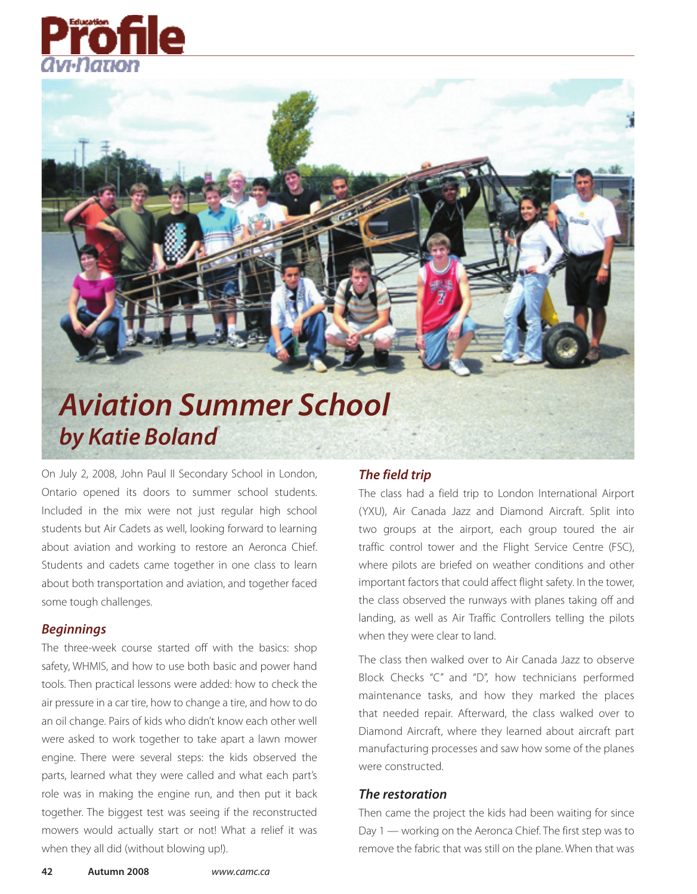



On July 2, 2008, John Paul II Secondary School in London, Ontario opened its doors to summer school students. Included in the mix were not just regular high school students but Air Cadets as well, looking forward to learning about aviation and working to restore an Aeronca Chief. Students and cadets came together in one class to learn about both transportation and aviation, and together faced some tough challenges.

## *Beginnings*

The three-week course started off with the basics: shop safety, WHMIS, and how to use both basic and power hand tools. Then practical lessons were added: how to check the air pressure in a car tire, how to change a tire, and how to do an oil change. Pairs of kids who didn't know each other well were asked to work together to take apart a lawn mower engine. There were several steps: the kids observed the parts, learned what they were called and what each part's role was in making the engine run, and then put it back together. The biggest test was seeing if the reconstructed mowers would actually start or not! What a relief it was when they all did (without blowing up!).

## *The field trip*

The class had a field trip to London International Airport (YXU), Air Canada Jazz and Diamond Aircraft. Split into two groups at the airport, each group toured the air traffic control tower and the Flight Service Centre (FSC), where pilots are briefed on weather conditions and other important factors that could affect flight safety. In the tower, the class observed the runways with planes taking off and landing, as well as Air Traffic Controllers telling the pilots when they were clear to land.

The class then walked over to Air Canada Jazz to observe Block Checks "C" and "D", how technicians performed maintenance tasks, and how they marked the places that needed repair. Afterward, the class walked over to Diamond Aircraft, where they learned about aircraft part manufacturing processes and saw how some of the planes were constructed.

## *The restoration*

Then came the project the kids had been waiting for since Day 1 — working on the Aeronca Chief. The first step was to remove the fabric that was still on the plane. When that was